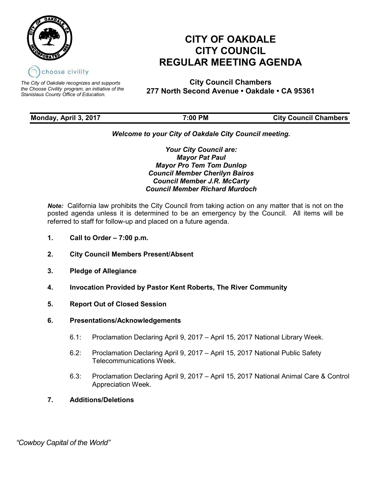

*The City of Oakdale recognizes and supports the Choose Civility program, an initiative of the Stanislaus County Office of Education.*

# **CITY OF OAKDALE CITY COUNCIL REGULAR MEETING AGENDA**

**City Council Chambers 277 North Second Avenue • Oakdale • CA 95361**

| Monday, April 3, 2017 | $7:00$ PM | <b>City Council Chambers</b> |
|-----------------------|-----------|------------------------------|
|                       |           |                              |

# *Welcome to your City of Oakdale City Council meeting.*

*Your City Council are: Mayor Pat Paul Mayor Pro Tem Tom Dunlop Council Member Cherilyn Bairos Council Member J.R. McCarty Council Member Richard Murdoch*

*Note:* California law prohibits the City Council from taking action on any matter that is not on the posted agenda unless it is determined to be an emergency by the Council. All items will be referred to staff for follow-up and placed on a future agenda.

- **1. Call to Order – 7:00 p.m.**
- **2. City Council Members Present/Absent**
- **3. Pledge of Allegiance**
- **4. Invocation Provided by Pastor Kent Roberts, The River Community**
- **5. Report Out of Closed Session**
- **6. Presentations/Acknowledgements**
	- 6.1: Proclamation Declaring April 9, 2017 April 15, 2017 National Library Week.
	- 6.2: Proclamation Declaring April 9, 2017 April 15, 2017 National Public Safety Telecommunications Week.
	- 6.3: Proclamation Declaring April 9, 2017 April 15, 2017 National Animal Care & Control Appreciation Week.
- **7. Additions/Deletions**

 *"Cowboy Capital of the World"*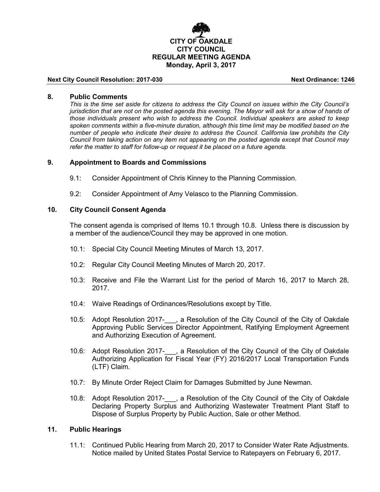

#### **Next City Council Resolution: 2017-030 Next Ordinance: 1246**

#### **8. Public Comments**

*This is the time set aside for citizens to address the City Council on issues within the City Council's jurisdiction that are not on the posted agenda this evening. The Mayor will ask for a show of hands of those individuals present who wish to address the Council. Individual speakers are asked to keep spoken comments within a five-minute duration, although this time limit may be modified based on the number of people who indicate their desire to address the Council. California law prohibits the City Council from taking action on any item not appearing on the posted agenda except that Council may refer the matter to staff for follow-up or request it be placed on a future agenda.*

#### **9. Appointment to Boards and Commissions**

- 9.1: Consider Appointment of Chris Kinney to the Planning Commission.
- 9.2: Consider Appointment of Amy Velasco to the Planning Commission.

# **10. City Council Consent Agenda**

The consent agenda is comprised of Items 10.1 through 10.8. Unless there is discussion by a member of the audience/Council they may be approved in one motion.

- 10.1: Special City Council Meeting Minutes of March 13, 2017.
- 10.2: Regular City Council Meeting Minutes of March 20, 2017.
- 10.3: Receive and File the Warrant List for the period of March 16, 2017 to March 28, 2017.
- 10.4: Waive Readings of Ordinances/Resolutions except by Title.
- 10.5: Adopt Resolution 2017-\_\_\_, a Resolution of the City Council of the City of Oakdale Approving Public Services Director Appointment, Ratifying Employment Agreement and Authorizing Execution of Agreement.
- 10.6: Adopt Resolution 2017- , a Resolution of the City Council of the City of Oakdale Authorizing Application for Fiscal Year (FY) 2016/2017 Local Transportation Funds (LTF) Claim.
- 10.7: By Minute Order Reject Claim for Damages Submitted by June Newman.
- 10.8: Adopt Resolution 2017-\_\_\_, a Resolution of the City Council of the City of Oakdale Declaring Property Surplus and Authorizing Wastewater Treatment Plant Staff to Dispose of Surplus Property by Public Auction, Sale or other Method.

# **11. Public Hearings**

11.1: Continued Public Hearing from March 20, 2017 to Consider Water Rate Adjustments. Notice mailed by United States Postal Service to Ratepayers on February 6, 2017.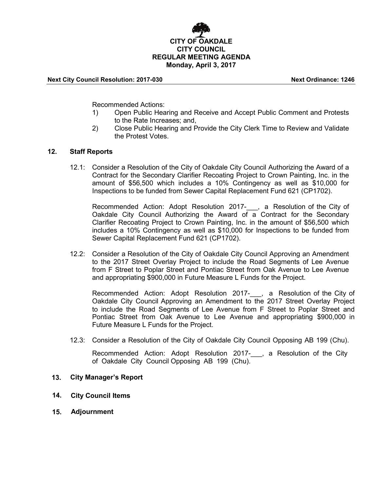

#### **Next City Council Resolution: 2017-030 Next Ordinance: 1246**

Recommended Actions:

- 1) Open Public Hearing and Receive and Accept Public Comment and Protests to the Rate Increases; and,
- 2) Close Public Hearing and Provide the City Clerk Time to Review and Validate the Protest Votes.

# **12. Staff Reports**

12.1: Consider a Resolution of the City of Oakdale City Council Authorizing the Award of a Contract for the Secondary Clarifier Recoating Project to Crown Painting, Inc. in the amount of \$56,500 which includes a 10% Contingency as well as \$10,000 for Inspections to be funded from Sewer Capital Replacement Fund 621 (CP1702).

Recommended Action: Adopt Resolution 2017-\_\_\_, a Resolution of the City of Oakdale City Council Authorizing the Award of a Contract for the Secondary Clarifier Recoating Project to Crown Painting, Inc. in the amount of \$56,500 which includes a 10% Contingency as well as \$10,000 for Inspections to be funded from Sewer Capital Replacement Fund 621 (CP1702).

12.2: Consider a Resolution of the City of Oakdale City Council Approving an Amendment to the 2017 Street Overlay Project to include the Road Segments of Lee Avenue from F Street to Poplar Street and Pontiac Street from Oak Avenue to Lee Avenue and appropriating \$900,000 in Future Measure L Funds for the Project.

Recommended Action: Adopt Resolution 2017-\_\_\_, a Resolution of the City of Oakdale City Council Approving an Amendment to the 2017 Street Overlay Project to include the Road Segments of Lee Avenue from F Street to Poplar Street and Pontiac Street from Oak Avenue to Lee Avenue and appropriating \$900,000 in Future Measure L Funds for the Project.

12.3: Consider a Resolution of the City of Oakdale City Council Opposing AB 199 (Chu).

Recommended Action: Adopt Resolution 2017- , a Resolution of the City of Oakdale City Council Opposing AB 199 (Chu).

# **13. City Manager's Report**

- **14. City Council Items**
- **15. Adjournment**